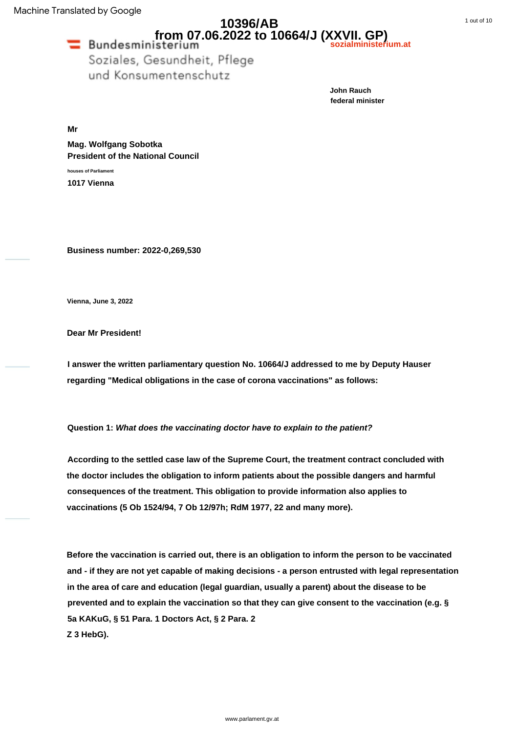## **10396/AB from 07.06.2022 to 10664/J (XXVII. GP) sozialministerium.at**

Soziales, Gesundheit, Pflege und Konsumentenschutz

> **John Rauch federal minister**

**Mr**

**Mag. Wolfgang Sobotka President of the National Council**

**houses of Parliament 1017 Vienna**

**Business number: 2022-0,269,530**

**Vienna, June 3, 2022**

**Dear Mr President!**

**I answer the written parliamentary question No. 10664/J addressed to me by Deputy Hauser regarding "Medical obligations in the case of corona vaccinations" as follows:**

**Question 1: What does the vaccinating doctor have to explain to the patient?**

**According to the settled case law of the Supreme Court, the treatment contract concluded with the doctor includes the obligation to inform patients about the possible dangers and harmful consequences of the treatment. This obligation to provide information also applies to vaccinations (5 Ob 1524/94, 7 Ob 12/97h; RdM 1977, 22 and many more).**

**Before the vaccination is carried out, there is an obligation to inform the person to be vaccinated and - if they are not yet capable of making decisions - a person entrusted with legal representation in the area of care and education (legal guardian, usually a parent) about the disease to be prevented and to explain the vaccination so that they can give consent to the vaccination (e.g. § 5a KAKuG, § 51 Para. 1 Doctors Act, § 2 Para. 2 Z 3 HebG).**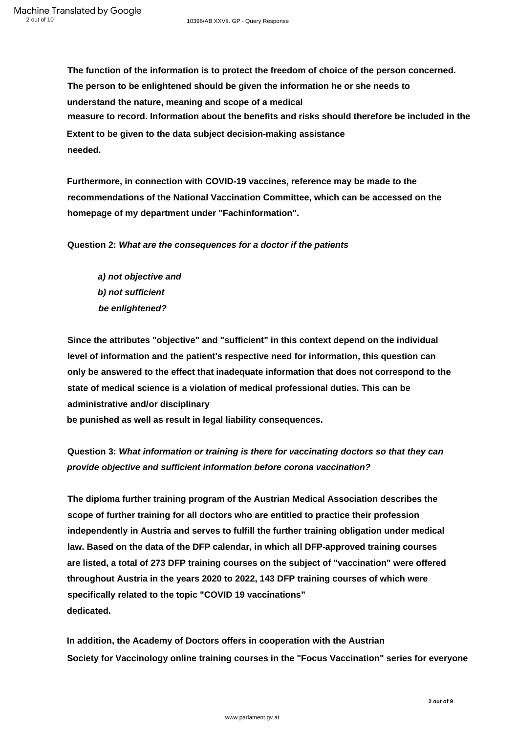**The function of the information is to protect the freedom of choice of the person concerned. The person to be enlightened should be given the information he or she needs to understand the nature, meaning and scope of a medical needed. Extent to be given to the data subject decision-making assistance measure to record. Information about the benefits and risks should therefore be included in the**

**Furthermore, in connection with COVID-19 vaccines, reference may be made to the recommendations of the National Vaccination Committee, which can be accessed on the homepage of my department under "Fachinformation".**

**Question 2: What are the consequences for a doctor if the patients**

**be enlightened? a) not objective and b) not sufficient**

**Since the attributes "objective" and "sufficient" in this context depend on the individual level of information and the patient's respective need for information, this question can only be answered to the effect that inadequate information that does not correspond to the state of medical science is a violation of medical professional duties. This can be administrative and/or disciplinary**

**be punished as well as result in legal liability consequences.**

**Question 3: What information or training is there for vaccinating doctors so that they can provide objective and sufficient information before corona vaccination?**

**dedicated. The diploma further training program of the Austrian Medical Association describes the scope of further training for all doctors who are entitled to practice their profession independently in Austria and serves to fulfill the further training obligation under medical law. Based on the data of the DFP calendar, in which all DFP-approved training courses are listed, a total of 273 DFP training courses on the subject of "vaccination" were offered throughout Austria in the years 2020 to 2022, 143 DFP training courses of which were specifically related to the topic "COVID 19 vaccinations"**

**Society for Vaccinology online training courses in the "Focus Vaccination" series for everyone In addition, the Academy of Doctors offers in cooperation with the Austrian**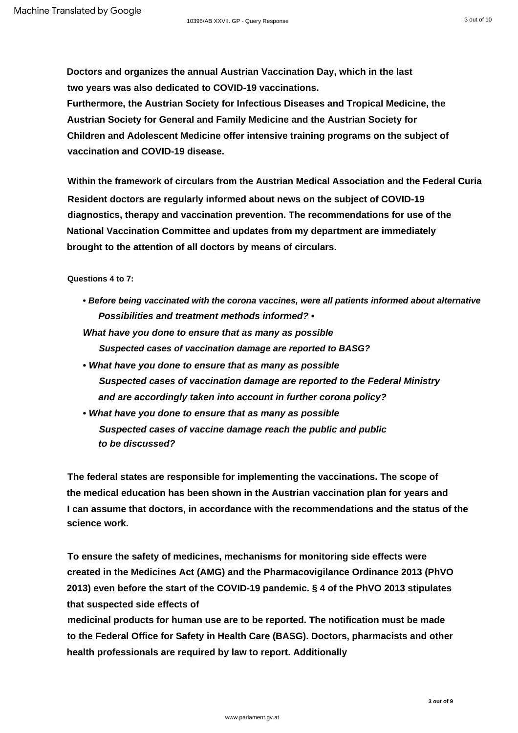**Doctors and organizes the annual Austrian Vaccination Day, which in the last two years was also dedicated to COVID-19 vaccinations.**

**Furthermore, the Austrian Society for Infectious Diseases and Tropical Medicine, the Austrian Society for General and Family Medicine and the Austrian Society for Children and Adolescent Medicine offer intensive training programs on the subject of vaccination and COVID-19 disease.**

**Within the framework of circulars from the Austrian Medical Association and the Federal Curia Resident doctors are regularly informed about news on the subject of COVID-19 diagnostics, therapy and vaccination prevention. The recommendations for use of the National Vaccination Committee and updates from my department are immediately brought to the attention of all doctors by means of circulars.**

**Questions 4 to 7:**

- **Possibilities and treatment methods informed? • Before being vaccinated with the corona vaccines, were all patients informed about alternative**
- **Suspected cases of vaccination damage are reported to BASG? What have you done to ensure that as many as possible**
- **What have you done to ensure that as many as possible Suspected cases of vaccination damage are reported to the Federal Ministry and are accordingly taken into account in further corona policy?**
- **Suspected cases of vaccine damage reach the public and public • What have you done to ensure that as many as possible to be discussed?**

**The federal states are responsible for implementing the vaccinations. The scope of the medical education has been shown in the Austrian vaccination plan for years and I can assume that doctors, in accordance with the recommendations and the status of the science work.**

**To ensure the safety of medicines, mechanisms for monitoring side effects were created in the Medicines Act (AMG) and the Pharmacovigilance Ordinance 2013 (PhVO 2013) even before the start of the COVID-19 pandemic. § 4 of the PhVO 2013 stipulates that suspected side effects of**

**medicinal products for human use are to be reported. The notification must be made to the Federal Office for Safety in Health Care (BASG). Doctors, pharmacists and other health professionals are required by law to report. Additionally**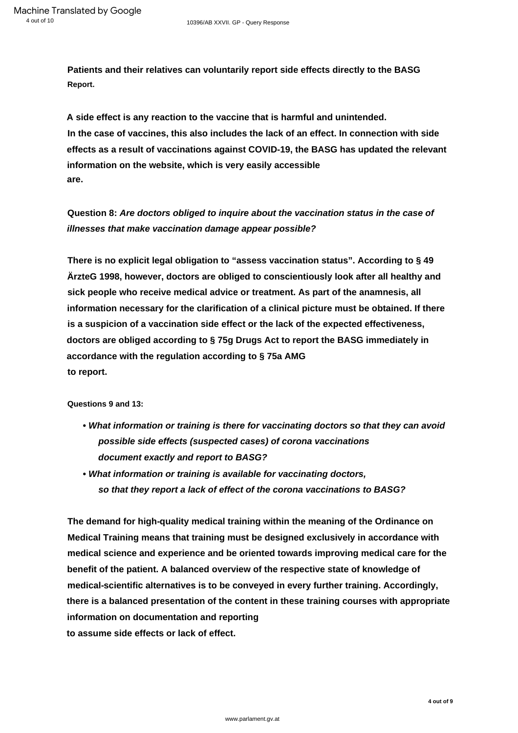**Patients and their relatives can voluntarily report side effects directly to the BASG Report.**

**In the case of vaccines, this also includes the lack of an effect. In connection with side effects as a result of vaccinations against COVID-19, the BASG has updated the relevant information on the website, which is very easily accessible A side effect is any reaction to the vaccine that is harmful and unintended. are.**

**Question 8: Are doctors obliged to inquire about the vaccination status in the case of illnesses that make vaccination damage appear possible?**

**to report. There is no explicit legal obligation to "assess vaccination status". According to § 49 ÄrzteG 1998, however, doctors are obliged to conscientiously look after all healthy and sick people who receive medical advice or treatment. As part of the anamnesis, all information necessary for the clarification of a clinical picture must be obtained. If there is a suspicion of a vaccination side effect or the lack of the expected effectiveness, doctors are obliged according to § 75g Drugs Act to report the BASG immediately in accordance with the regulation according to § 75a AMG**

**Questions 9 and 13:**

- **What information or training is there for vaccinating doctors so that they can avoid possible side effects (suspected cases) of corona vaccinations document exactly and report to BASG?**
- **so that they report a lack of effect of the corona vaccinations to BASG? • What information or training is available for vaccinating doctors,**

**to assume side effects or lack of effect. The demand for high-quality medical training within the meaning of the Ordinance on Medical Training means that training must be designed exclusively in accordance with medical science and experience and be oriented towards improving medical care for the benefit of the patient. A balanced overview of the respective state of knowledge of medical-scientific alternatives is to be conveyed in every further training. Accordingly, there is a balanced presentation of the content in these training courses with appropriate information on documentation and reporting**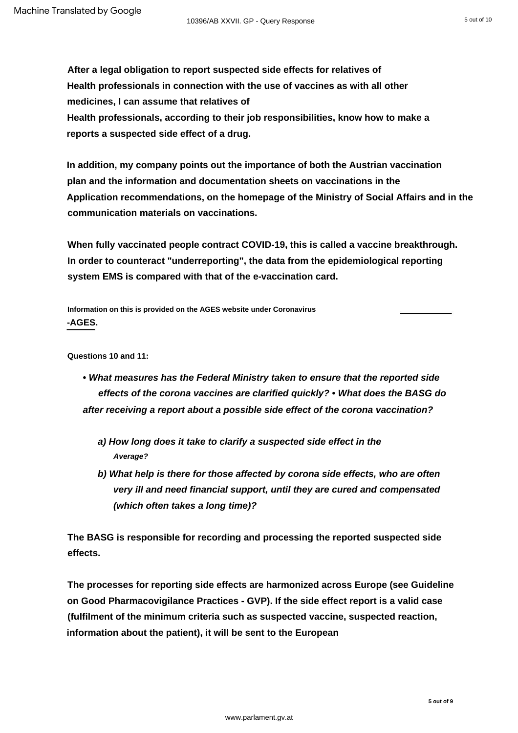**After a legal obligation to report suspected side effects for relatives of reports a suspected side effect of a drug. Health professionals, according to their job responsibilities, know how to make a Health professionals in connection with the use of vaccines as with all other medicines, I can assume that relatives of**

**Application recommendations, on the homepage of the Ministry of Social Affairs and in the In addition, my company points out the importance of both the Austrian vaccination plan and the information and documentation sheets on vaccinations in the communication materials on vaccinations.**

**When fully vaccinated people contract COVID-19, this is called a vaccine breakthrough. In order to counteract "underreporting", the data from the epidemiological reporting system EMS is compared with that of the e-vaccination card.**

**-AGES. Information on this is provided on the AGES website under [Coronavirus](https://www.ages.at/mensch/krankheit/krankheitserreger-von-a-bis-z/coronavirus#c13852)**

**Questions 10 and 11:**

- **What measures has the Federal Ministry taken to ensure that the reported side effects of the corona vaccines are clarified quickly? • What does the BASG do after receiving a report about a possible side effect of the corona vaccination?**
	- **a) How long does it take to clarify a suspected side effect in the Average?**
	- **b) What help is there for those affected by corona side effects, who are often very ill and need financial support, until they are cured and compensated (which often takes a long time)?**

**The BASG is responsible for recording and processing the reported suspected side effects.**

**The processes for reporting side effects are harmonized across Europe (see Guideline on Good Pharmacovigilance Practices - GVP). If the side effect report is a valid case (fulfilment of the minimum criteria such as suspected vaccine, suspected reaction, information about the patient), it will be sent to the European**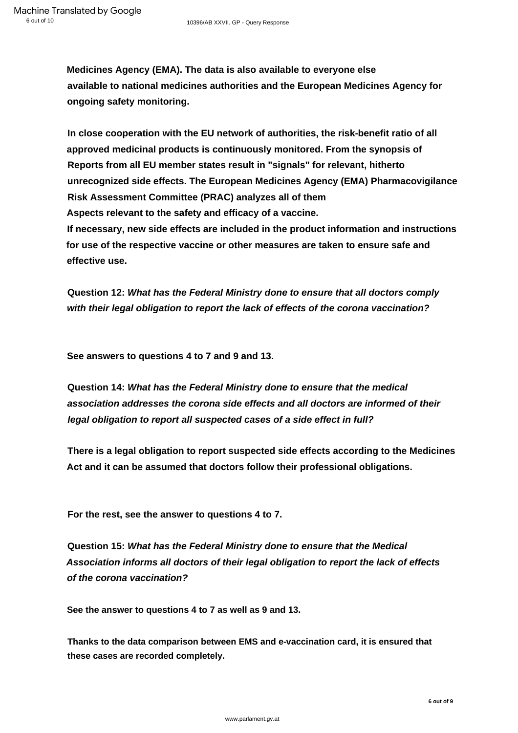**Medicines Agency (EMA). The data is also available to everyone else available to national medicines authorities and the European Medicines Agency for ongoing safety monitoring.**

**In close cooperation with the EU network of authorities, the risk-benefit ratio of all approved medicinal products is continuously monitored. From the synopsis of Reports from all EU member states result in "signals" for relevant, hitherto unrecognized side effects. The European Medicines Agency (EMA) Pharmacovigilance Risk Assessment Committee (PRAC) analyzes all of them Aspects relevant to the safety and efficacy of a vaccine. If necessary, new side effects are included in the product information and instructions for use of the respective vaccine or other measures are taken to ensure safe and effective use.**

**Question 12: What has the Federal Ministry done to ensure that all doctors comply with their legal obligation to report the lack of effects of the corona vaccination?**

**See answers to questions 4 to 7 and 9 and 13.**

**Question 14: What has the Federal Ministry done to ensure that the medical association addresses the corona side effects and all doctors are informed of their legal obligation to report all suspected cases of a side effect in full?**

**There is a legal obligation to report suspected side effects according to the Medicines Act and it can be assumed that doctors follow their professional obligations.**

**For the rest, see the answer to questions 4 to 7.**

**Question 15: What has the Federal Ministry done to ensure that the Medical Association informs all doctors of their legal obligation to report the lack of effects of the corona vaccination?**

**See the answer to questions 4 to 7 as well as 9 and 13.**

**Thanks to the data comparison between EMS and e-vaccination card, it is ensured that these cases are recorded completely.**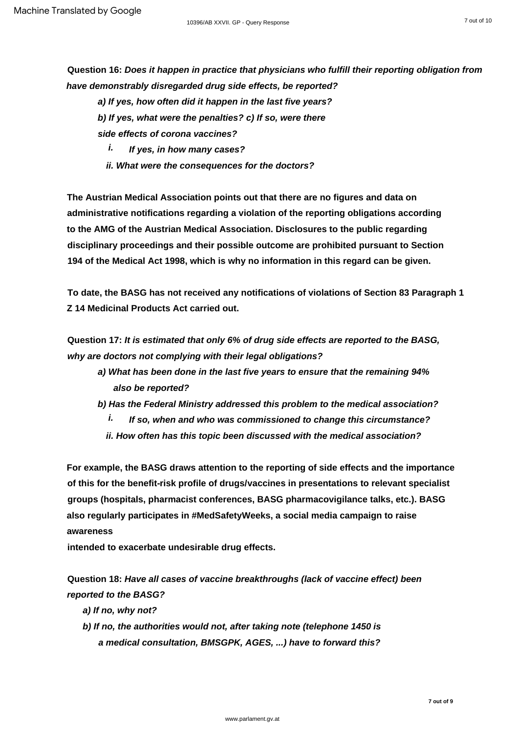**Question 16: Does it happen in practice that physicians who fulfill their reporting obligation from have demonstrably disregarded drug side effects, be reported?**

**a) If yes, how often did it happen in the last five years?** 

**b) If yes, what were the penalties? c) If so, were there** 

**side effects of corona vaccines?**

**If yes, in how many cases? i.**

**ii. What were the consequences for the doctors?**

**The Austrian Medical Association points out that there are no figures and data on administrative notifications regarding a violation of the reporting obligations according to the AMG of the Austrian Medical Association. Disclosures to the public regarding disciplinary proceedings and their possible outcome are prohibited pursuant to Section 194 of the Medical Act 1998, which is why no information in this regard can be given.**

**Z 14 Medicinal Products Act carried out. To date, the BASG has not received any notifications of violations of Section 83 Paragraph 1**

**Question 17: It is estimated that only 6% of drug side effects are reported to the BASG, why are doctors not complying with their legal obligations?**

- **also be reported? a) What has been done in the last five years to ensure that the remaining 94%**
- **b) Has the Federal Ministry addressed this problem to the medical association?**
	- **i. If so, when and who was commissioned to change this circumstance?**
	- **ii. How often has this topic been discussed with the medical association?**

**For example, the BASG draws attention to the reporting of side effects and the importance of this for the benefit-risk profile of drugs/vaccines in presentations to relevant specialist groups (hospitals, pharmacist conferences, BASG pharmacovigilance talks, etc.). BASG also regularly participates in #MedSafetyWeeks, a social media campaign to raise awareness**

**intended to exacerbate undesirable drug effects.**

**Question 18: Have all cases of vaccine breakthroughs (lack of vaccine effect) been reported to the BASG?**

- **a) If no, why not?**
- **b) If no, the authorities would not, after taking note (telephone 1450 is a medical consultation, BMSGPK, AGES, ...) have to forward this?**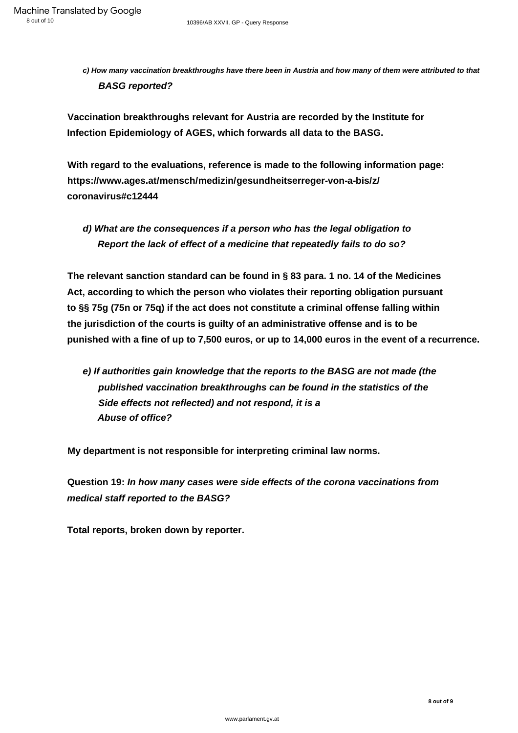**c) How many vaccination breakthroughs have there been in Austria and how many of them were attributed to that BASG reported?**

**Vaccination breakthroughs relevant for Austria are recorded by the Institute for Infection Epidemiology of AGES, which forwards all data to the BASG.**

**With regard to the evaluations, reference is made to the following information page: https://www.ages.at/mensch/medizin/gesundheitserreger-von-a-bis/z/ coronavirus#c12444**

**d) What are the consequences if a person who has the legal obligation to Report the lack of effect of a medicine that repeatedly fails to do so?**

**The relevant sanction standard can be found in § 83 para. 1 no. 14 of the Medicines Act, according to which the person who violates their reporting obligation pursuant to §§ 75g (75n or 75q) if the act does not constitute a criminal offense falling within the jurisdiction of the courts is guilty of an administrative offense and is to be punished with a fine of up to 7,500 euros, or up to 14,000 euros in the event of a recurrence.**

**Side effects not reflected) and not respond, it is a Abuse of office? e) If authorities gain knowledge that the reports to the BASG are not made (the published vaccination breakthroughs can be found in the statistics of the**

**My department is not responsible for interpreting criminal law norms.**

**medical staff reported to the BASG? Question 19: In how many cases were side effects of the corona vaccinations from**

**Total reports, broken down by reporter.**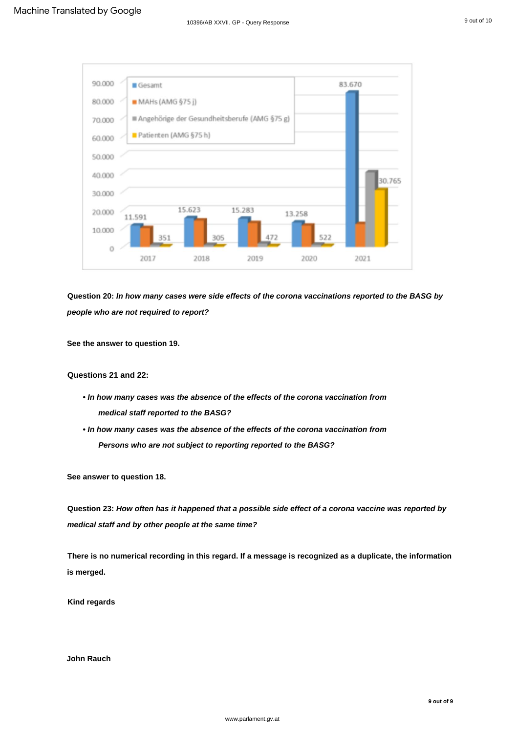

**Question 20: In how many cases were side effects of the corona vaccinations reported to the BASG by people who are not required to report?**

**See the answer to question 19.**

**Questions 21 and 22:**

- **In how many cases was the absence of the effects of the corona vaccination from medical staff reported to the BASG?**
- **In how many cases was the absence of the effects of the corona vaccination from Persons who are not subject to reporting reported to the BASG?**

**See answer to question 18.**

**Question 23: How often has it happened that a possible side effect of a corona vaccine was reported by medical staff and by other people at the same time?**

**There is no numerical recording in this regard. If a message is recognized as a duplicate, the information is merged.**

**Kind regards**

**John Rauch**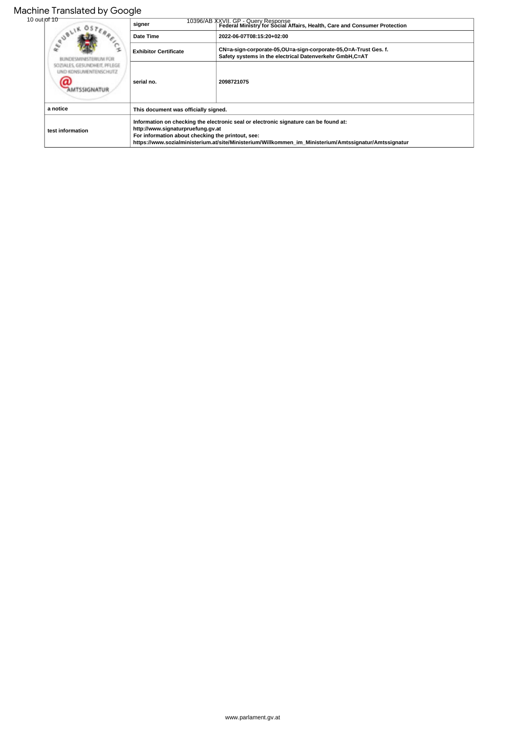|              | Machine Translated by Google                          |                                                                                                                                                                                                                                                                                         |                                                                                                                            |
|--------------|-------------------------------------------------------|-----------------------------------------------------------------------------------------------------------------------------------------------------------------------------------------------------------------------------------------------------------------------------------------|----------------------------------------------------------------------------------------------------------------------------|
| 10 out of 10 | <b>RREICH</b><br>œ<br>SIMINESTERIUM FOR               | signer                                                                                                                                                                                                                                                                                  | T0396/AB XXVII. GP - Query Response<br>  Federal Ministry for Social Affairs, Health, Care and Consumer Protection         |
|              |                                                       | Date Time                                                                                                                                                                                                                                                                               | 2022-06-07T08:15:20+02:00                                                                                                  |
|              |                                                       | <b>Exhibitor Certificate</b>                                                                                                                                                                                                                                                            | CN=a-sign-corporate-05,OU=a-sign-corporate-05,O=A-Trust Ges. f.<br>Safety systems in the electrical Datenverkehr GmbH,C=AT |
|              | SOZIALES, GESUNDHEIT, PFLEGE<br>IND KONSUMENTENSCHUTZ | serial no.                                                                                                                                                                                                                                                                              | 2098721075                                                                                                                 |
|              | a notice                                              | This document was officially signed.                                                                                                                                                                                                                                                    |                                                                                                                            |
|              | test information                                      | Information on checking the electronic seal or electronic signature can be found at:<br>http://www.signaturpruefung.gv.at<br>For information about checking the printout, see:<br>https://www.sozialministerium.at/site/Ministerium/Willkommen im Ministerium/Amtssignatur/Amtssignatur |                                                                                                                            |